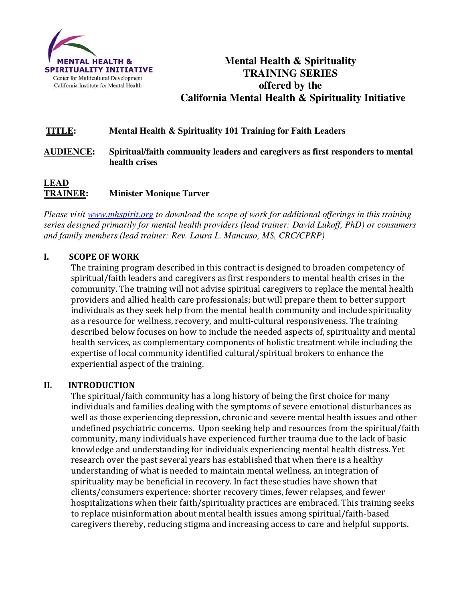

# **Mental Health & Spirituality TRAINING SERIES offered by the California Mental Health & Spirituality Initiative**

# **TITLE: Mental Health & Spirituality 101 Training for Faith Leaders**

# **AUDIENCE: Spiritual/faith community leaders and caregivers as first responders to mental health crises**

# **LEAD TRAINER: Minister Monique Tarver**

*Please visit www.mhspirit.org to download the scope of work for additional offerings in this training series designed primarily for mental health providers (lead trainer: David Lukoff, PhD) or consumers and family members (lead trainer: Rev. Laura L. Mancuso, MS, CRC/CPRP)* 

#### **I. SCOPE OF WORK**

The training program described in this contract is designed to broaden competency of spiritual/faith leaders and caregivers as first responders to mental health crises in the community. The training will not advise spiritual caregivers to replace the mental health providers and allied health care professionals; but will prepare them to better support individuals as they seek help from the mental health community and include spirituality as a resource for wellness, recovery, and multi-cultural responsiveness. The training described below focuses on how to include the needed aspects of, spirituality and mental health services, as complementary components of holistic treatment while including the expertise of local community identified cultural/spiritual brokers to enhance the experiential aspect of the training.

#### **II. INTRODUCTION**

The spiritual/faith community has a long history of being the first choice for many individuals and families dealing with the symptoms of severe emotional disturbances as well as those experiencing depression, chronic and severe mental health issues and other undefined psychiatric concerns. Upon seeking help and resources from the spiritual/faith community, many individuals have experienced further trauma due to the lack of basic knowledge and understanding for individuals experiencing mental health distress. Yet research over the past several years has established that when there is a healthy understanding of what is needed to maintain mental wellness, an integration of spirituality may be beneficial in recovery. In fact these studies have shown that clients/consumers experience: shorter recovery times, fewer relapses, and fewer hospitalizations when their faith/spirituality practices are embraced. This training seeks to replace misinformation about mental health issues among spiritual/faith-based caregivers thereby, reducing stigma and increasing access to care and helpful supports.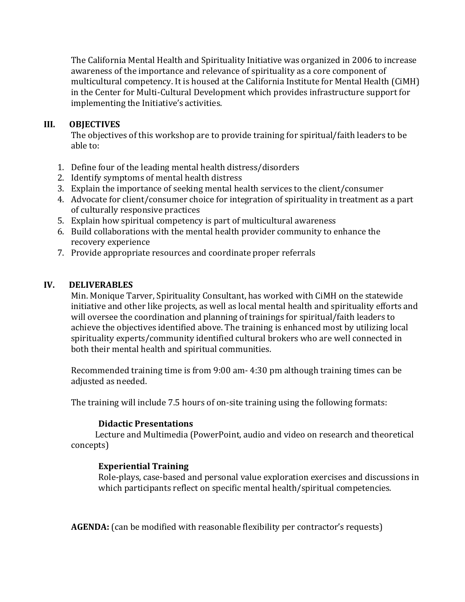The California Mental Health and Spirituality Initiative was organized in 2006 to increase awareness of the importance and relevance of spirituality as a core component of multicultural competency. It is housed at the California Institute for Mental Health (CiMH) in the Center for Multi-Cultural Development which provides infrastructure support for implementing the Initiative's activities.

# **III. OBJECTIVES**

The objectives of this workshop are to provide training for spiritual/faith leaders to be able to:

- 1. Define four of the leading mental health distress/disorders
- 2. Identify symptoms of mental health distress
- 3. Explain the importance of seeking mental health services to the client/consumer
- 4. Advocate for client/consumer choice for integration of spirituality in treatment as a part of culturally responsive practices
- 5. Explain how spiritual competency is part of multicultural awareness
- 6. Build collaborations with the mental health provider community to enhance the recovery experience
- 7. Provide appropriate resources and coordinate proper referrals

# **IV. DELIVERABLES**

Min. Monique Tarver, Spirituality Consultant, has worked with CiMH on the statewide initiative and other like projects, as well as local mental health and spirituality efforts and will oversee the coordination and planning of trainings for spiritual/faith leaders to achieve the objectives identified above. The training is enhanced most by utilizing local spirituality experts/community identified cultural brokers who are well connected in both their mental health and spiritual communities.

Recommended training time is from 9:00 am- 4:30 pm although training times can be adjusted as needed.

The training will include 7.5 hours of on-site training using the following formats:

#### **Didactic Presentations**

 Lecture and Multimedia (PowerPoint, audio and video on research and theoretical concepts)

# **Experiential Training**

Role-plays, case-based and personal value exploration exercises and discussions in which participants reflect on specific mental health/spiritual competencies.

**AGENDA:** (can be modified with reasonable flexibility per contractor's requests)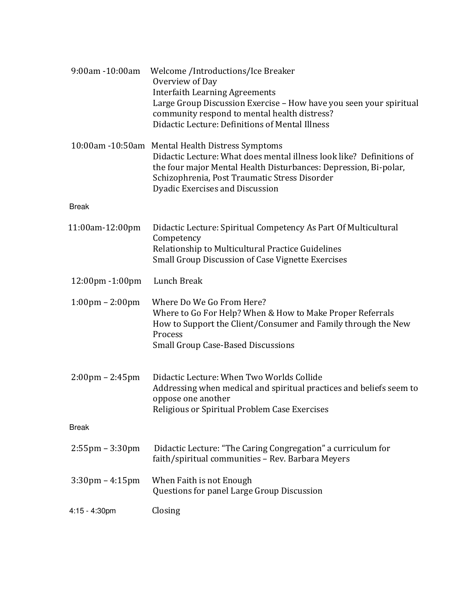| 9:00am -10:00am                   | Welcome /Introductions/Ice Breaker<br>Overview of Day<br><b>Interfaith Learning Agreements</b><br>Large Group Discussion Exercise - How have you seen your spiritual<br>community respond to mental health distress?<br>Didactic Lecture: Definitions of Mental Illness          |
|-----------------------------------|----------------------------------------------------------------------------------------------------------------------------------------------------------------------------------------------------------------------------------------------------------------------------------|
|                                   | 10:00am -10:50am Mental Health Distress Symptoms<br>Didactic Lecture: What does mental illness look like? Definitions of<br>the four major Mental Health Disturbances: Depression, Bi-polar,<br>Schizophrenia, Post Traumatic Stress Disorder<br>Dyadic Exercises and Discussion |
| <b>Break</b>                      |                                                                                                                                                                                                                                                                                  |
| 11:00am-12:00pm                   | Didactic Lecture: Spiritual Competency As Part Of Multicultural<br>Competency<br>Relationship to Multicultural Practice Guidelines<br><b>Small Group Discussion of Case Vignette Exercises</b>                                                                                   |
| 12:00pm -1:00pm                   | Lunch Break                                                                                                                                                                                                                                                                      |
| $1:00 \text{pm} - 2:00 \text{pm}$ | Where Do We Go From Here?<br>Where to Go For Help? When & How to Make Proper Referrals<br>How to Support the Client/Consumer and Family through the New<br>Process<br><b>Small Group Case-Based Discussions</b>                                                                  |
| $2:00 \text{pm} - 2:45 \text{pm}$ | Didactic Lecture: When Two Worlds Collide<br>Addressing when medical and spiritual practices and beliefs seem to<br>oppose one another<br>Religious or Spiritual Problem Case Exercises                                                                                          |
| <b>Break</b>                      |                                                                                                                                                                                                                                                                                  |
| $2:55$ pm $-3:30$ pm              | Didactic Lecture: "The Caring Congregation" a curriculum for<br>faith/spiritual communities - Rev. Barbara Meyers                                                                                                                                                                |
| $3:30 \text{pm} - 4:15 \text{pm}$ | When Faith is not Enough<br>Questions for panel Large Group Discussion                                                                                                                                                                                                           |
| $4:15 - 4:30$ pm                  | Closing                                                                                                                                                                                                                                                                          |